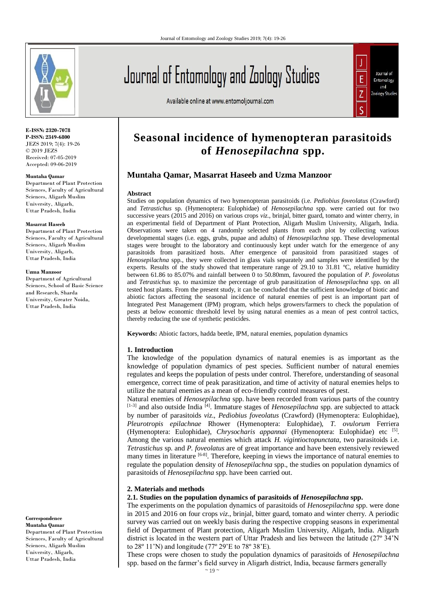

**E-ISSN: 2320-7078 P-ISSN: 2349-6800** JEZS 2019; 7(4): 19-26 © 2019 JEZS Received: 07-05-2019 Accepted: 09-06-2019

#### **Muntaha Qamar**

Department of Plant Protection Sciences, Faculty of Agricultural Sciences, Aligarh Muslim University, Aligarh, Uttar Pradesh, India

#### **Masarrat Haseeb**

Department of Plant Protection Sciences, Faculty of Agricultural Sciences, Aligarh Muslim University, Aligarh, Uttar Pradesh, India

#### **Uzma Manzoor**

Department of Agricultural Sciences, School of Basic Science and Research, Sharda University, Greater Noida, Uttar Pradesh, India

**Correspondence Muntaha Qamar**

Department of Plant Protection Sciences, Faculty of Agricultural Sciences, Aligarh Muslim University, Aligarh, Uttar Pradesh, India

# Journal of Entomology and Zoology Studies

Available online at www.entomoljournal.com



# **Seasonal incidence of hymenopteran parasitoids of** *Henosepilachna* **spp.**

# **Muntaha Qamar, Masarrat Haseeb and Uzma Manzoor**

#### **Abstract**

Studies on population dynamics of two hymenopteran parasitoids (i.e. *Pediobius foveolatus* (Crawford) and *Tetrastichus* sp. (Hymenoptera: Eulophidae) of *Henosepilachna* spp. were carried out for two successive years (2015 and 2016) on various crops *viz*., brinjal, bitter guard, tomato and winter cherry, in an experimental field of Department of Plant Protection, Aligarh Muslim University, Aligarh, India. Observations were taken on 4 randomly selected plants from each plot by collecting various developmental stages (i.e. eggs, grubs, pupae and adults) of *Henosepilachna* spp. These developmental stages were brought to the laboratory and continuously kept under watch for the emergence of any parasitoids from parasitized hosts. After emergence of parasitoid from parasitized stages of *Henosepilachna* spp., they were collected in glass vials separately and samples were identified by the experts. Results of the study showed that temperature range of 29.10 to 31.81 °C, relative humidity between 61.86 to 85.07% and rainfall between 0 to 50.80mm, favoured the population of *P. foveolatus* and *Tetrastichus* sp. to maximize the percentage of grub parasitization of *Henosepilachna* spp. on all tested host plants. From the present study, it can be concluded that the sufficient knowledge of biotic and abiotic factors affecting the seasonal incidence of natural enemies of pest is an important part of Integrated Pest Management (IPM) program, which helps growers/farmers to check the population of pests at below economic threshold level by using natural enemies as a mean of pest control tactics, thereby reducing the use of synthetic pesticides.

**Keywords:** Abiotic factors, hadda beetle, IPM, natural enemies, population dynamics

# **1. Introduction**

The knowledge of the population dynamics of natural enemies is as important as the knowledge of population dynamics of pest species. Sufficient number of natural enemies regulates and keeps the population of pests under control. Therefore, understanding of seasonal emergence, correct time of peak parasitization, and time of activity of natural enemies helps to utilize the natural enemies as a mean of eco-friendly control measures of pest.

Natural enemies of *Henosepilachna* spp. have been recorded from various parts of the country [1-3] and also outside India [4]. Immature stages of *Henosepilachna* spp. are subjected to attack by number of parasitoids *viz*., *Pediobius foveolatus* (Crawford) (Hymenoptera: Eulophidae), *Pleurotropis epilachnae* Rhower (Hymenoptera: Eulophidae), *T. ovulorum* Ferriera (Hymenoptera: Eulophidae), *Chrysocharis appannai* (Hymenoptera: Eulophidae) etc [5] . Among the various natural enemies which attack *H. vigintioctopunctata*, two parasitoids i.e. *Tetrastichus* sp. and *P. foveolatus* are of great importance and have been extensively reviewed many times in literature  $[6-8]$ . Therefore, keeping in views the importance of natural enemies to regulate the population density of *Henosepilachna* spp., the studies on population dynamics of parasitoids of *Henosepilachna* spp. have been carried out.

#### **2. Materials and methods**

#### **2.1. Studies on the population dynamics of parasitoids of** *Henosepilachna* **spp.**

The experiments on the population dynamics of parasitoids of *Henosepilachna* spp. were done in 2015 and 2016 on four crops *viz*., brinjal, bitter guard, tomato and winter cherry. A periodic survey was carried out on weekly basis during the respective cropping seasons in experimental field of Department of Plant protection, Aligarh Muslim University, Aligarh, India. Aligarh district is located in the western part of Uttar Pradesh and lies between the latitude (27º 34'N to 28º 11'N) and longitude (77º 29'E to 78º 38'E).

These crops were chosen to study the population dynamics of parasitoids of *Henosepilachna* spp. based on the farmer's field survey in Aligarh district, India, because farmers generally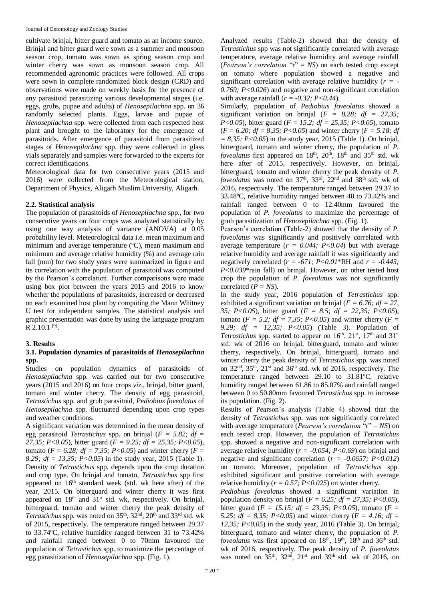cultivate brinjal, bitter guard and tomato as an income source. Brinjal and bitter guard were sown as a summer and monsoon season crop, tomato was sown as spring season crop and winter cherry was sown as monsoon season crop. All recommended agronomic practices were followed. All crops were sown in complete randomized block design (CRD) and observations were made on weekly basis for the presence of any parasitoid parasitizing various developmental stages (i.e. eggs, grubs, pupae and adults) of *Henosepilachna* spp. on 36 randomly selected plants. Eggs, larvae and pupae of *Henosepilachna* spp. were collected from each respected host plant and brought to the laboratory for the emergence of parasitoids. After emergence of parasitoid from parasitized stages of *Henosepilachna* spp. they were collected in glass vials separately and samples were forwarded to the experts for correct identifications.

Meteorological data for two consecutive years (2015 and 2016) were collected from the Meteorological station, Department of Physics, Aligarh Muslim University, Aligarh.

# **2.2. Statistical analysis**

The population of parasitoids of *Henosepilachna* spp., for two consecutive years on four crops was analyzed statistically by using one way analysis of variance (ANOVA) at 0.05 probability level. Meteorological data i.e. mean maximum and minimum and average temperature (ºC), mean maximum and minimum and average relative humidity (%) and average rain fall (mm) for two study years were summarized in figure and its correlation with the population of parasitoid was computed by the Pearson's correlation. Further comparisons were made using box plot between the years 2015 and 2016 to know whether the populations of parasitoids, increased or decreased on each examined host plant by computing the Mann Whitney U test for independent samples. The statistical analysis and graphic presentation was done by using the language program  $R$  2.10.1  $^{[9]}$ .

# **3. Results**

# **3.1. Population dynamics of parasitoids of** *Henosepilachna* **spp.**

Studies on population dynamics of parasitoids of *Henosepilachna* spp. was carried out for two consecutive years (2015 and 2016) on four crops *viz*., brinjal, bitter guard, tomato and winter cherry. The density of egg parasitoid, *Tetrastichus* spp. and grub parasitoid, *Pediobius foveolatus* of *Henosepilachna* spp. fluctuated depending upon crop types and weather conditions.

A significant variation was determined in the mean density of egg parasitoid *Tetrastichus* spp. on brinjal (*F = 5.82; df = 27,35; P<0.05*), bitter guard (*F = 9.25; df = 25,35; P<0.05*), tomato ( $F = 6.28$ ;  $df = 7.35$ ;  $P < 0.05$ ) and winter cherry ( $F =$ *8.29; df = 13,35; P<0.05*) in the study year, 2015 (Table 1). Density of *Tetrastichus* spp. depends upon the crop duration and crop type. On brinjal and tomato, *Tetrastichus* spp first appeared on  $16<sup>th</sup>$  standard week (std. wk here after) of the year, 2015. On bitterguard and winter cherry it was first appeared on  $18<sup>th</sup>$  and  $31<sup>st</sup>$  std. wk, respectively. On brinjal, bitterguard, tomato and winter cherry the peak density of Tetrastichus spp. was noted on 35<sup>th</sup>, 32<sup>nd</sup>, 20<sup>th</sup> and 33<sup>rd</sup> std. wk of 2015, respectively. The temperature ranged between 29.37 to 33.74ºC, relative humidity ranged between 31 to 73.42% and rainfall ranged between 0 to 70mm favoured the population of *Tetrastichus* spp. to maximize the percentage of egg parasitization of *Henosepilachna* spp. (Fig. 1).

Analyzed results (Table-2) showed that the density of *Tetrastichus* spp was not significantly correlated with average temperature, average relative humidity and average rainfall (*Pearson's correlation* "r" = *NS*) on each tested crop except on tomato where population showed a negative and significant correlation with average relative humidity (*r = - 0.769; P<0.026*) and negative and non-significant correlation with average rainfall  $(r = -0.32; P < 0.44)$ .

Similarly, population of *Pediobius foveolatus* showed a significant variation on brinjal  $(F = 8.28; df = 27.35;$ *P<0.05*), bitter guard (*F = 15.2; df = 25,35; P<0.05*), tomato (*F = 6.20; df = 8,35; P<0.05*) and winter cherry (*F = 5.18; df = 8,35; P<0.05*) in the study year, 2015 (Table 1). On brinjal, bitterguard, tomato and winter cherry, the population of *P. foveolatus* first appeared on 18<sup>th</sup>, 20<sup>th</sup>, 18<sup>th</sup> and 35<sup>th</sup> std. wk here after of 2015, respectively. However, on brinjal, bitterguard, tomato and winter cherry the peak density of *P. foveolatus* was noted on 37<sup>th</sup>, 33<sup>rd</sup>, 22<sup>nd</sup> and 38<sup>th</sup> std. wk of 2016, respectively. The temperature ranged between 29.37 to 33.48ºC, relative humidity ranged between 40 to 73.42% and rainfall ranged between 0 to 12.40mm favoured the population of *P. foveolatus* to maximize the percentage of grub parasitization of *Henosepilachna* spp. (Fig. 1).

Pearson's correlation (Table-2) showed that the density of *P. foveolatus* was significantly and positively correlated with average temperature  $(r = 0.044; P < 0.04)$  but with average relative humidity and average rainfall it was significantly and negatively correlated (*r = -671; P<0.01*\*RH and *r = -0.443; P<0.039*\*rain fall) on brinial. However, on other tested host crop the population of *P. foveolatus* was not significantly correlated (*P = NS*).

In the study year, 2016 population of *Tetrastichus* spp. exhibited a significant variation on brinjal ( $F = 6.76$ ;  $df = 27$ , *35; P<0.05*), bitter guard (*F = 8.5; df = 22,35; P<0.05*), tomato ( $F = 5.2$ ;  $df = 7.35$ ;  $P < 0.05$ ) and winter cherry ( $F =$ *9.29; df = 12,35; P<0.05*) (Table 3). Population of *Tetrastichus* spp. started to appear on  $16<sup>th</sup>$ ,  $21<sup>st</sup>$ ,  $17<sup>th</sup>$  and  $31<sup>st</sup>$ std. wk of 2016 on brinjal, bitterguard, tomato and winter cherry, respectively. On brinjal, bitterguard, tomato and winter cherry the peak density of *Tetrastichus* spp. was noted on 32nd, 35th, 21st and 36th std. wk of 2016, respectively. The temperature ranged between 29.10 to 31.81ºC, relative humidity ranged between 61.86 to 85.07% and rainfall ranged between 0 to 50.80mm favoured *Tetrastichus* spp. to increase its population. (Fig. 2).

Results of Pearson's analysis (Table 4) showed that the density of *Tetrastichus* spp. was not significantly correlated with average temperature (*Pearson's correlation* "r" = *NS*) on each tested crop. However, the population of *Tetrastichus*  spp. showed a negative and non-significant correlation with average relative humidity ( $r = -0.054$ ;  $P < 0.69$ ) on brinjal and negative and significant correlation (*r = -0.0657; P<0.012*) on tomato. Moreover, population of *Tetrastichus* spp. exhibited significant and positive correlation with average relative humidity ( $r = 0.57$ ;  $P < 0.025$ ) on winter cherry.

*Pediobius foveolatus* showed a significant variation in population density on brinjal ( $F = 6.25$ ;  $df = 27.35$ ;  $P < 0.05$ ), bitter guard ( $F = 15.15$ ;  $df = 23.35$ ;  $P < 0.05$ ), tomato ( $F =$ *5.25; df = 8,35; P<0.05*) and winter cherry (*F = 4.16; df = 12,35; P<0.05*) in the study year, 2016 (Table 3). On brinjal, bitterguard, tomato and winter cherry, the population of *P. foveolatus* was first appeared on  $18<sup>th</sup>$ ,  $19<sup>th</sup>$ ,  $18<sup>th</sup>$  and  $36<sup>th</sup>$  std. wk of 2016, respectively. The peak density of *P. foveolatus* was noted on  $35<sup>th</sup>$ ,  $32<sup>nd</sup>$ ,  $21<sup>st</sup>$  and  $39<sup>th</sup>$  std. wk of 2016, on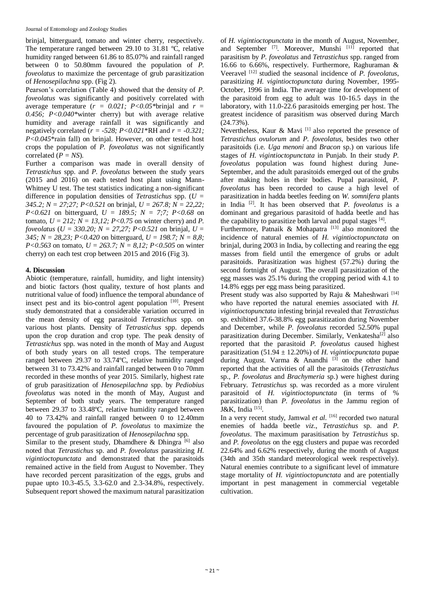brinjal, bitterguard, tomato and winter cherry, respectively. The temperature ranged between 29.10 to 31.81 ºC, relative humidity ranged between 61.86 to 85.07% and rainfall ranged between 0 to 50.80mm favoured the population of *P. foveolatus* to maximize the percentage of grub parasitization of *Henosepilachna* spp. (Fig 2).

Pearson's correlation (Table 4) showed that the density of *P. foveolatus* was significantly and positively correlated with average temperature  $(r = 0.021; P < 0.05$ \*brinjal and  $r =$ *0.456; P<0.040\**winter cherry) but with average relative humidity and average rainfall it was significantly and negatively correlated (*r = -528; P<0.021*\*RH and *r = -0.321; P<0.045*\*rain fall) on brinjal. However, on other tested host crops the population of *P. foveolatus* was not significantly correlated  $(P = NS)$ .

Further a comparison was made in overall density of *Tetrastichus* spp. and *P. foveolatus* between the study years (2015 and 2016) on each tested host plant using Mann-Whitney U test. The test statistics indicating a non-significant difference in population densities of *Tetrastichus* spp. (*U = 345.2; N = 27;27; P<0.521* on brinjal, *U = 267.8; N = 22,22; P<0.621* on bitterguard, *U = 189.5; N = 7;7; P<0.68* on tomato,  $U = 212$ ;  $N = 13,12$ ;  $P < 0.75$  on winter cherry) and *P*. *foveolatus* (*U = 330.20; N = 27,27; P<0.521* on brinjal, *U = 345; N = 28,23; P<0.420* on bitterguard, *U = 198.7; N = 8,8; P<0.563* on tomato, *U = 263.7; N = 8,12; P<0.505* on winter cherry) on each test crop between 2015 and 2016 (Fig 3).

# **4. Discussion**

Abiotic (temperature, rainfall, humidity, and light intensity) and biotic factors (host quality, texture of host plants and nutritional value of food) influence the temporal abundance of insect pest and its bio-control agent population [10]. Present study demonstrated that a considerable variation occurred in the mean density of egg parasitoid *Tetrastichus* spp. on various host plants. Density of *Tetrastichus* spp. depends upon the crop duration and crop type. The peak density of *Tetrastichus* spp. was noted in the month of May and August of both study years on all tested crops. The temperature ranged between 29.37 to 33.74ºC, relative humidity ranged between 31 to 73.42% and rainfall ranged between 0 to 70mm recorded in these months of year 2015. Similarly, highest rate of grub parasitization of *Henosepilachna* spp. by *Pediobius foveolatus* was noted in the month of May, August and September of both study years. The temperature ranged between 29.37 to 33.48ºC, relative humidity ranged between 40 to 73.42% and rainfall ranged between 0 to 12.40mm favoured the population of *P. foveolatus* to maximize the percentage of grub parasitization of *Henosepilachna* spp.

Similar to the present study, Dhamdhere  $\&$  Dhingra [6] also noted that *Tetrastichus* sp. and *P. foveolatus* parasitizing *H. vigintioctopunctata* and demonstrated that the parasitoids remained active in the field from August to November. They have recorded percent parasitization of the eggs, grubs and pupae upto 10.3-45.5, 3.3-62.0 and 2.3-34.8%, respectively. Subsequent report showed the maximum natural parasitization

of *H. vigintioctopunctata* in the month of August, November, and September [7]. Moreover, Munshi [11] reported that parasitism by *P. foveolatus* and *Tetrastichus* spp. ranged from 16.66 to 6.66%, respectively. Furthermore, Raghuraman & Veeravel [12] studied the seasonal incidence of *P. foveolatus*, parasitizing *H. vigintioctopunctata* during November, 1995- October, 1996 in India. The average time for development of the parasitoid from egg to adult was 10-16.5 days in the laboratory, with 11.0-22.6 parasitoids emerging per host. The greatest incidence of parasitism was observed during March  $(24.73\%)$ .

Nevertheless, Kaur & Mavi  $^{[1]}$  also reported the presence of *Tetrastichus ovulorum* and *P. foveolatus*, besides two other parasitoids (i.e. *Uga menoni* and *Bracon* sp.) on various life stages of *H. vigintioctopunctata* in Punjab. In their study *P. foveolatus* population was found highest during June-September, and the adult parasitoids emerged out of the grubs after making holes in their bodies. Pupal parasitoid, *P. foveolatus* has been recorded to cause a high level of parasitization in hadda beetles feeding on *W. somnifera* plants in India [2]. It has been observed that *P. foveolatus* is a dominant and gregarious parasitoid of hadda beetle and has the capability to parasitize both larval and pupal stages [4].

Furthermore, Patnaik & Mohapatra  $[13]$  also monitored the incidence of natural enemies of *H. vigintioctopunctata* on brinjal, during 2003 in India, by collecting and rearing the egg masses from field until the emergence of grubs or adult parasitoids. Parasitization was highest (57.2%) during the second fortnight of August. The overall parasitization of the egg masses was 25.1% during the cropping period with 4.1 to 14.8% eggs per egg mass being parasitized.

Present study was also supported by Raju & Maheshwari [14] who have reported the natural enemies associated with *H. vigintioctopunctata* infesting brinjal revealed that *Tetrastichus* sp. exhibited 37.6-38.8% egg parasitization during November and December, while *P. foveolatus* recorded 52.50% pupal parasitization during December. Similarly, Venkatesha<sup>[2]</sup> also reported that the parasitoid *P. foveolatus* caused highest parasitization  $(51.94 \pm 12.20\%)$  of *H. vigintiocpunctata* pupae during August. Varma  $\&$  Anandhi  $^{[3]}$  on the other hand reported that the activities of all the parasitoids (*Tetrastichus* sp., *P. foveolatus* and *Brachymeria* sp.) were highest during February. *Tetrastichus* sp. was recorded as a more virulent parasitoid of *H. vigintioctopunctata* (in terms of % parasitization) than *P. foveolatus* in the Jammu region of J&K, India<sup>[15]</sup>.

In a very recent study, Jamwal *et al.* <sup>[16]</sup> recorded two natural enemies of hadda beetle *viz.*, *Tetrastichus* sp. and *P. foveolatus*. The maximum parasitisation by *Tetrastichus* sp. and *P. foveolatus* on the egg clusters and pupae was recorded 22.64% and 6.62% respectively, during the month of August (34th and 35th standard meteorological week respectively). Natural enemies contribute to a significant level of immature stage mortality of *H. vigintioctopunctata* and are potentially important in pest management in commercial vegetable cultivation.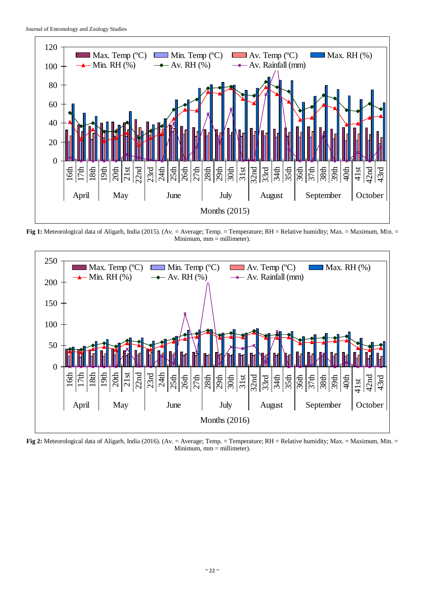

**Fig 1:** Meteorological data of Aligarh, India (2015). (Av. = Average; Temp. = Temperature; RH = Relative humidity; Max. = Maximum, Min. = Minimum,  $mm =$  millimeter).



**Fig 2:** Meteorological data of Aligarh, India (2016). (Av. = Average; Temp. = Temperature; RH = Relative humidity; Max. = Maximum, Min. = Minimum,  $mm =$  millimeter).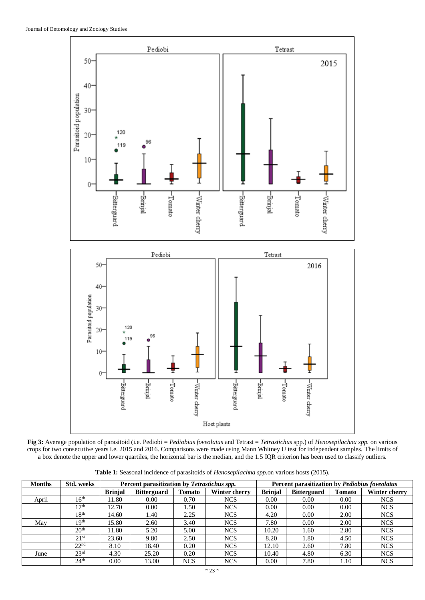

**Fig 3:** Average population of parasitoid (i.e. Pediobi = *Pediobius foveolatus* and Tetrast = *Tetrastichus* spp.) of *Henosepilachna spp.* on various crops for two consecutive years i.e. 2015 and 2016. Comparisons were made using Mann Whitney U test for independent samples. The limits of a box denote the upper and lower quartiles, the horizontal bar is the median, and the 1.5 IQR criterion has been used to classify outliers.

**Table 1:** Seasonal incidence of parasitoids of *Henosepilachna spp.*on various hosts (2015).

| <b>Months</b> | Std. weeks       |                | Percent parasitization by Tetrastichus spp. |               |               |                | Percent parasitization by Pediobius foveolatus |        |               |  |
|---------------|------------------|----------------|---------------------------------------------|---------------|---------------|----------------|------------------------------------------------|--------|---------------|--|
|               |                  | <b>Brinial</b> | <b>Bitterguard</b>                          | <b>Tomato</b> | Winter cherry | <b>Brinjal</b> | <b>Bitterguard</b>                             | Tomato | Winter cherry |  |
| April         | $16^{\text{th}}$ | 11.80          | 0.00                                        | 0.70          | <b>NCS</b>    | 0.00           | 0.00                                           | 0.00   | <b>NCS</b>    |  |
|               | 17 <sup>th</sup> | 12.70          | 0.00                                        | 1.50          | <b>NCS</b>    | 0.00           | 0.00                                           | 0.00   | <b>NCS</b>    |  |
|               | 18 <sup>th</sup> | 14.60          | 1.40                                        | 2.25          | <b>NCS</b>    | 4.20           | 0.00                                           | 2.00   | <b>NCS</b>    |  |
| May           | 19 <sup>th</sup> | 15.80          | 2.60                                        | 3.40          | <b>NCS</b>    | 7.80           | 0.00                                           | 2.00   | <b>NCS</b>    |  |
|               | 20 <sup>th</sup> | 11.80          | 5.20                                        | 5.00          | <b>NCS</b>    | 10.20          | 1.60                                           | 2.80   | <b>NCS</b>    |  |
|               | 21 <sup>st</sup> | 23.60          | 9.80                                        | 2.50          | <b>NCS</b>    | 8.20           | 1.80                                           | 4.50   | <b>NCS</b>    |  |
|               | 22 <sup>nd</sup> | 8.10           | 18.40                                       | 0.20          | <b>NCS</b>    | 12.10          | 2.60                                           | 7.80   | <b>NCS</b>    |  |
| June          | 23 <sup>rd</sup> | 4.30           | 25.20                                       | 0.20          | <b>NCS</b>    | 10.40          | 4.80                                           | 6.30   | <b>NCS</b>    |  |
|               | 24 <sup>th</sup> | 0.00           | 13.00                                       | <b>NCS</b>    | <b>NCS</b>    | 0.00           | 7.80                                           | 1.10   | <b>NCS</b>    |  |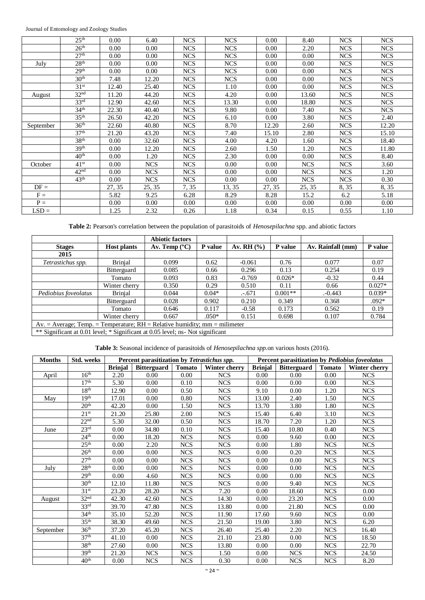Journal of Entomology and Zoology Studies

|           | 25 <sup>th</sup> | 0.00   | 6.40       | <b>NCS</b> | <b>NCS</b> | 0.00   | 8.40       | <b>NCS</b> | <b>NCS</b> |
|-----------|------------------|--------|------------|------------|------------|--------|------------|------------|------------|
|           | 26 <sup>th</sup> | 0.00   | 0.00       | <b>NCS</b> | <b>NCS</b> | 0.00   | 2.20       | <b>NCS</b> | <b>NCS</b> |
|           | 27 <sup>th</sup> | 0.00   | 0.00       | <b>NCS</b> | <b>NCS</b> | 0.00   | 0.00       | <b>NCS</b> | <b>NCS</b> |
| July      | 28 <sup>th</sup> | 0.00   | 0.00       | <b>NCS</b> | <b>NCS</b> | 0.00   | 0.00       | <b>NCS</b> | <b>NCS</b> |
|           | 29 <sup>th</sup> | 0.00   | 0.00       | <b>NCS</b> | <b>NCS</b> | 0.00   | 0.00       | <b>NCS</b> | <b>NCS</b> |
|           | 30 <sup>th</sup> | 7.48   | 12.20      | <b>NCS</b> | <b>NCS</b> | 0.00   | 0.00       | <b>NCS</b> | <b>NCS</b> |
|           | 31 <sup>st</sup> | 12.40  | 25.40      | <b>NCS</b> | 1.10       | 0.00   | 0.00       | <b>NCS</b> | <b>NCS</b> |
| August    | 32 <sup>nd</sup> | 11.20  | 44.20      | <b>NCS</b> | 4.20       | 0.00   | 13.60      | <b>NCS</b> | <b>NCS</b> |
|           | 33 <sup>rd</sup> | 12.90  | 42.60      | <b>NCS</b> | 13.30      | 0.00   | 18.80      | <b>NCS</b> | <b>NCS</b> |
|           | 34 <sup>th</sup> | 22.30  | 40.40      | <b>NCS</b> | 9.80       | 0.00   | 7.40       | <b>NCS</b> | <b>NCS</b> |
|           | 35 <sup>th</sup> | 26.50  | 42.20      | <b>NCS</b> | 6.10       | 0.00   | 3.80       | <b>NCS</b> | 2.40       |
| September | 36 <sup>th</sup> | 22.60  | 40.80      | <b>NCS</b> | 8.70       | 12.20  | 2.60       | <b>NCS</b> | 12.20      |
|           | 37 <sup>th</sup> | 21.20  | 43.20      | <b>NCS</b> | 7.40       | 15.10  | 2.80       | <b>NCS</b> | 15.10      |
|           | 38 <sup>th</sup> | 0.00   | 32.60      | <b>NCS</b> | 4.00       | 4.20   | 1.60       | <b>NCS</b> | 18.40      |
|           | 39 <sup>th</sup> | 0.00   | 12.20      | <b>NCS</b> | 2.60       | 1.50   | 1.20       | <b>NCS</b> | 11.80      |
|           | 40 <sup>th</sup> | 0.00   | 1.20       | <b>NCS</b> | 2.30       | 0.00   | 0.00       | <b>NCS</b> | 8.40       |
| October   | 41 <sup>st</sup> | 0.00   | <b>NCS</b> | <b>NCS</b> | 0.00       | 0.00   | <b>NCS</b> | <b>NCS</b> | 3.60       |
|           | 42 <sup>nd</sup> | 0.00   | <b>NCS</b> | <b>NCS</b> | 0.00       | 0.00   | <b>NCS</b> | <b>NCS</b> | 1.20       |
|           | 43 <sup>th</sup> | 0.00   | <b>NCS</b> | <b>NCS</b> | 0.00       | 0.00   | <b>NCS</b> | <b>NCS</b> | 0.30       |
| $DF =$    |                  | 27, 35 | 25, 35     | 7,35       | 13, 35     | 27, 35 | 25, 35     | 8,35       | 8, 35      |
| $F =$     |                  | 5.82   | 9.25       | 6.28       | 8.29       | 8.28   | 15.2       | 6.2        | 5.18       |
| $P =$     |                  | 0.00   | 0.00       | 0.00       | 0.00       | 0.00   | 0.00       | 0.00       | 0.00       |
| $LSD =$   |                  | 1.25   | 2.32       | 0.26       | 1.18       | 0.34   | 0.15       | 0.55       | 1.10       |

**Table 2:** Pearson's correlation between the population of parasitoids of *Henosepilachna* spp. and abiotic factors

|                      |                                                                                | <b>Abiotic factors</b> |         |                |           |                   |          |  |  |  |
|----------------------|--------------------------------------------------------------------------------|------------------------|---------|----------------|-----------|-------------------|----------|--|--|--|
| <b>Stages</b>        | <b>Host plants</b>                                                             | Av. Temp $(^{\circ}C)$ | P value | Av. RH $(\% )$ | P value   | Av. Rainfall (mm) | P value  |  |  |  |
| 2015                 |                                                                                |                        |         |                |           |                   |          |  |  |  |
| Tetrastichus spp.    | <b>Brinjal</b>                                                                 | 0.099                  | 0.62    | $-0.061$       | 0.76      | 0.077             | 0.07     |  |  |  |
|                      | <b>Bitterguard</b>                                                             | 0.085                  | 0.66    | 0.296          | 0.13      | 0.254             | 0.19     |  |  |  |
|                      | Tomato                                                                         | 0.093                  | 0.83    | $-0.769$       | $0.026*$  | $-0.32$           | 0.44     |  |  |  |
|                      | Winter cherry                                                                  | 0.350                  | 0.29    | 0.510          | 0.11      | 0.66              | $0.027*$ |  |  |  |
| Pediobius foveolatus | <b>Brinjal</b>                                                                 | 0.044                  | $0.04*$ | $-.671$        | $0.001**$ | -0.443            | $0.039*$ |  |  |  |
|                      | <b>Bitterguard</b>                                                             | 0.028                  | 0.902   | 0.210          | 0.349     | 0.368             | $.092*$  |  |  |  |
|                      | Tomato                                                                         | 0.646                  | 0.117   | $-0.58$        | 0.173     | 0.562             | 0.19     |  |  |  |
|                      | Winter cherry                                                                  | 0.667                  | $.050*$ | 0.151          | 0.698     | 0.107             | 0.784    |  |  |  |
|                      | $Av.$ = Average; Temp. = Temperature; $RH = Relative$ humidity; mm = milimeter |                        |         |                |           |                   |          |  |  |  |
|                      | ** Significant at 0.01 level; * Significant at 0.05 level; ns- Not significant |                        |         |                |           |                   |          |  |  |  |

**Table 3:** Seasonal incidence of parasitoids of *Henosepilachna spp.*on various hosts (2016).

| <b>Months</b> | Std. weeks                  |                | Percent parasitization by Tetrastichus spp. |               |               | Percent parasitization by Pediobius foveolatus |                    |               |               |
|---------------|-----------------------------|----------------|---------------------------------------------|---------------|---------------|------------------------------------------------|--------------------|---------------|---------------|
|               |                             | <b>Brinjal</b> | <b>Bitterguard</b>                          | <b>Tomato</b> | Winter cherry | <b>Brinjal</b>                                 | <b>Bitterguard</b> | <b>Tomato</b> | Winter cherry |
| April         | 16 <sup>th</sup>            | 2.20           | 0.00                                        | 0.00          | <b>NCS</b>    | 0.00                                           | 0.00               | 0.00          | <b>NCS</b>    |
|               | 17 <sup>th</sup>            | 5.30           | 0.00                                        | 0.10          | <b>NCS</b>    | 0.00                                           | 0.00               | 0.00          | <b>NCS</b>    |
|               | 18 <sup>th</sup>            | 12.90          | 0.00                                        | 0.50          | <b>NCS</b>    | 9.10                                           | 0.00               | 1.20          | <b>NCS</b>    |
| May           | 19 <sup>th</sup>            | 17.01          | 0.00                                        | 0.80          | <b>NCS</b>    | 13.00                                          | 2.40               | 1.50          | <b>NCS</b>    |
|               | 20 <sup>th</sup>            | 42.20          | 0.00                                        | 1.50          | <b>NCS</b>    | 13.70                                          | 3.80               | 1.80          | <b>NCS</b>    |
|               | $21^{st}$                   | 21.20          | 25.80                                       | 2.00          | <b>NCS</b>    | 15.40                                          | 6.40               | 3.10          | <b>NCS</b>    |
|               | 22 <sup>nd</sup>            | 5.30           | 32.00                                       | 0.50          | <b>NCS</b>    | 18.70                                          | 7.20               | 1.20          | <b>NCS</b>    |
| June          | $23^{\overline{\text{rd}}}$ | 0.00           | 34.80                                       | 0.10          | <b>NCS</b>    | 15.40                                          | 10.80              | 0.40          | <b>NCS</b>    |
|               | 24 <sup>th</sup>            | 0.00           | 18.20                                       | <b>NCS</b>    | <b>NCS</b>    | 0.00                                           | 9.60               | 0.00          | <b>NCS</b>    |
|               | 25 <sup>th</sup>            | 0.00           | 2.20                                        | <b>NCS</b>    | <b>NCS</b>    | 0.00                                           | 1.80               | <b>NCS</b>    | <b>NCS</b>    |
|               | 26 <sup>th</sup>            | 0.00           | 0.00                                        | <b>NCS</b>    | <b>NCS</b>    | 0.00                                           | 0.20               | <b>NCS</b>    | <b>NCS</b>    |
|               | 27 <sup>th</sup>            | 0.00           | 0.00                                        | <b>NCS</b>    | <b>NCS</b>    | 0.00                                           | 0.00               | <b>NCS</b>    | <b>NCS</b>    |
| July          | $28^{\rm th}$               | 0.00           | 0.00                                        | <b>NCS</b>    | <b>NCS</b>    | 0.00                                           | 0.00               | <b>NCS</b>    | <b>NCS</b>    |
|               | 29 <sup>th</sup>            | 0.00           | 4.60                                        | <b>NCS</b>    | <b>NCS</b>    | 0.00                                           | 0.00               | <b>NCS</b>    | <b>NCS</b>    |
|               | 30 <sup>th</sup>            | 12.10          | 11.80                                       | <b>NCS</b>    | <b>NCS</b>    | 0.00                                           | 9.40               | <b>NCS</b>    | <b>NCS</b>    |
|               | 31 <sup>st</sup>            | 23.20          | 28.20                                       | <b>NCS</b>    | 7.20          | 0.00                                           | 18.60              | <b>NCS</b>    | 0.00          |
| August        | 32 <sup>nd</sup>            | 42.30          | 42.60                                       | <b>NCS</b>    | 14.30         | 0.00                                           | 23.20              | <b>NCS</b>    | 0.00          |
|               | 33 <sup>rd</sup>            | 39.70          | 47.80                                       | <b>NCS</b>    | 13.80         | 0.00                                           | 21.80              | <b>NCS</b>    | 0.00          |
|               | 34 <sup>th</sup>            | 35.10          | 52.20                                       | <b>NCS</b>    | 11.90         | 17.60                                          | 9.60               | <b>NCS</b>    | 0.00          |
|               | 35 <sup>th</sup>            | 38.30          | 49.60                                       | <b>NCS</b>    | 21.50         | 19.00                                          | 3.80               | <b>NCS</b>    | 6.20          |
| September     | 36 <sup>th</sup>            | 37.20          | 45.20                                       | <b>NCS</b>    | 26.40         | 25.40                                          | 2.20               | <b>NCS</b>    | 16.40         |
|               | 37 <sup>th</sup>            | 41.10          | 0.00                                        | <b>NCS</b>    | 21.10         | 23.80                                          | 0.00               | <b>NCS</b>    | 18.50         |
|               | 38 <sup>th</sup>            | 27.60          | 0.00                                        | <b>NCS</b>    | 13.80         | 0.00                                           | 0.00               | <b>NCS</b>    | 22.70         |
|               | 39 <sup>th</sup>            | 21.20          | <b>NCS</b>                                  | <b>NCS</b>    | 1.50          | 0.00                                           | <b>NCS</b>         | <b>NCS</b>    | 24.50         |
|               | 40 <sup>th</sup>            | 0.00           | <b>NCS</b>                                  | <b>NCS</b>    | 0.30          | 0.00                                           | <b>NCS</b>         | <b>NCS</b>    | 8.20          |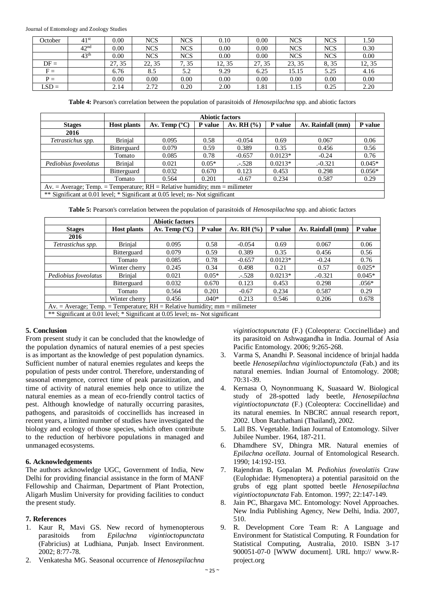Journal of Entomology and Zoology Studies

| October | 41 <sup>st</sup> | $0.00\,$ | NCS        | <b>NCS</b> | 0.10   | 0.00     | <b>NCS</b> | <b>NCS</b> | 1.50   |
|---------|------------------|----------|------------|------------|--------|----------|------------|------------|--------|
|         | 42 <sup>nd</sup> | 0.00     | <b>NCS</b> | <b>NCS</b> | 0.00   | 0.00     | <b>NCS</b> | <b>NCS</b> | 0.30   |
|         | 43 <sup>th</sup> | $0.00\,$ | <b>NCS</b> | <b>NCS</b> | 0.00   | $0.00\,$ | <b>NCS</b> | <b>NCS</b> | 0.00   |
| $DF =$  |                  | 27, 35   | 22, 35     | 7.35       | 12, 35 | 27, 35   | 23, 35     | 8, 35      | 12, 35 |
| $F =$   |                  | 6.76     | 8.5        | 5.2        | 9.29   | 6.25     | 15.15      | 5.25       | 4.16   |
| $P =$   |                  | $0.00\,$ | 0.00       | 0.00       | 0.00   | 0.00     | 0.00       | 0.00       | 0.00   |
| $LSD =$ |                  | 2.14     | 2.72       | 0.20       | 2.00   | 1.81     | 1.15       | 0.25       | 2.20   |

**Table 4:** Pearson's correlation between the population of parasitoids of *Henosepilachna* spp. and abiotic factors

|                      |                                                                                                                                                         |                        | <b>Abiotic factors</b> |              |           |                   |          |  |  |  |  |
|----------------------|---------------------------------------------------------------------------------------------------------------------------------------------------------|------------------------|------------------------|--------------|-----------|-------------------|----------|--|--|--|--|
| <b>Stages</b>        | <b>Host plants</b>                                                                                                                                      | Av. Temp $(^{\circ}C)$ | P value                | Av. RH $(%)$ | P value   | Av. Rainfall (mm) | P value  |  |  |  |  |
| 2016                 |                                                                                                                                                         |                        |                        |              |           |                   |          |  |  |  |  |
| Tetrastichus spp.    | <b>Brinjal</b>                                                                                                                                          | 0.095                  | 0.58                   | $-0.054$     | 0.69      | 0.067             | 0.06     |  |  |  |  |
|                      | Bitterguard                                                                                                                                             | 0.079                  | 0.59                   | 0.389        | 0.35      | 0.456             | 0.56     |  |  |  |  |
|                      | Tomato                                                                                                                                                  | 0.085                  | 0.78                   | $-0.657$     | $0.0123*$ | $-0.24$           | 0.76     |  |  |  |  |
| Pediobius foveolatus | <b>Brinial</b>                                                                                                                                          | 0.021                  | $0.05*$                | $-.528$      | $0.0213*$ | $-0.321$          | $0.045*$ |  |  |  |  |
|                      | Bitterguard                                                                                                                                             | 0.032                  | 0.670                  | 0.123        | 0.453     | 0.298             | $0.056*$ |  |  |  |  |
|                      | Tomato                                                                                                                                                  | 0.564                  | 0.201                  | $-0.67$      | 0.234     | 0.587             | 0.29     |  |  |  |  |
|                      | $Av = Average$ ; Temp. = Temperature; $RH = Relative$ humidity; mm = milimeter                                                                          |                        |                        |              |           |                   |          |  |  |  |  |
|                      | $\star\star$ 0' $\sim$ '0' $\sim$ $\sim$ 0.01 1. $\sim$ 1. $\star$ 0' $\sim$ '0' $\sim$ $\sim$ 0.05 1. 1. $\sim$ NT $\sim$ '1. $\sim$ '0' $\sim$ $\sim$ |                        |                        |              |           |                   |          |  |  |  |  |

\*\* Significant at 0.01 level; \* Significant at 0.05 level; ns- Not significant

**Table 5:** Pearson's correlation between the population of parasitoids of *Henosepilachna* spp. and abiotic factors

|                                                                                |                                                                                 | <b>Abiotic factors</b> |         |              |           |                   |          |  |  |  |
|--------------------------------------------------------------------------------|---------------------------------------------------------------------------------|------------------------|---------|--------------|-----------|-------------------|----------|--|--|--|
| <b>Stages</b>                                                                  | <b>Host plants</b>                                                              | Av. Temp $(^{\circ}C)$ | P value | Av. RH $(%)$ | P value   | Av. Rainfall (mm) | P value  |  |  |  |
| 2016                                                                           |                                                                                 |                        |         |              |           |                   |          |  |  |  |
| Tetrastichus spp.                                                              | <b>Brinjal</b>                                                                  | 0.095                  | 0.58    | $-0.054$     | 0.69      | 0.067             | 0.06     |  |  |  |
|                                                                                | <b>Bitterguard</b>                                                              | 0.079                  | 0.59    | 0.389        | 0.35      | 0.456             | 0.56     |  |  |  |
|                                                                                | Tomato                                                                          | 0.085                  | 0.78    | $-0.657$     | $0.0123*$ | $-0.24$           | 0.76     |  |  |  |
|                                                                                | Winter cherry                                                                   | 0.245                  | 0.34    | 0.498        | 0.21      | 0.57              | $0.025*$ |  |  |  |
| Pediobius foveolatus                                                           | <b>Brinjal</b>                                                                  | 0.021                  | $0.05*$ | $-.528$      | $0.0213*$ | $-0.321$          | $0.045*$ |  |  |  |
|                                                                                | <b>Bitterguard</b>                                                              | 0.032                  | 0.670   | 0.123        | 0.453     | 0.298             | $.056*$  |  |  |  |
|                                                                                | Tomato                                                                          | 0.564                  | 0.201   | $-0.67$      | 0.234     | 0.587             | 0.29     |  |  |  |
|                                                                                | Winter cherry                                                                   | 0.456                  | $.040*$ | 0.213        | 0.546     | 0.206             | 0.678    |  |  |  |
|                                                                                | $Av. = Average$ ; Temp. = Temperature; $RH = Relative$ humidity; mm = milimeter |                        |         |              |           |                   |          |  |  |  |
| ** Significant at 0.01 level; * Significant at 0.05 level; ns- Not significant |                                                                                 |                        |         |              |           |                   |          |  |  |  |

# **5. Conclusion**

From present study it can be concluded that the knowledge of the population dynamics of natural enemies of a pest species is as important as the knowledge of pest population dynamics. Sufficient number of natural enemies regulates and keeps the population of pests under control. Therefore, understanding of seasonal emergence, correct time of peak parasitization, and time of activity of natural enemies help once to utilize the natural enemies as a mean of eco-friendly control tactics of pest. Although knowledge of naturally occurring parasites, pathogens, and parasitoids of coccinellids has increased in recent years, a limited number of studies have investigated the biology and ecology of those species, which often contribute to the reduction of herbivore populations in managed and unmanaged ecosystems.

# **6. Acknowledgements**

The authors acknowledge UGC, Government of India, New Delhi for providing financial assistance in the form of MANF Fellowship and Chairman, Department of Plant Protection, Aligarh Muslim University for providing facilities to conduct the present study.

# **7. References**

- 1. Kaur R, Mavi GS. New record of hymenopterous parasitoids from *Epilachna vigintioctopunctata* (Fabricius) at Ludhiana, Punjab. Insect Environment. 2002; 8:77-78.
- 2. Venkatesha MG. Seasonal occurrence of *Henosepilachna*

*vigintioctopunctata* (F.) (Coleoptera: Coccinellidae) and its parasitoid on Ashwagandha in India. Journal of Asia Pacific Entomology. 2006; 9:265-268.

- 3. Varma S, Anandhi P. Seasonal incidence of brinjal hadda beetle *Henosepilachna viginlioctopunctala* (Fab.) and its natural enemies. Indian Journal of Entomology. 2008; 70:31-39.
- 4. Kernasa O, Noynonmuang K, Suasaard W. Biological study of 28-spotted lady beetle, *Henosepilachna vigintioctopunctata* (F.) (Coleoptera: Coccinellidae) and its natural enemies. In NBCRC annual research report, 2002. Ubon Ratchathani (Thailand), 2002.
- 5. Lall BS. Vegetable. Indian Journal of Entomology. Silver Jubilee Number. 1964, 187-211.
- 6. Dhamdhere SV, Dhingra MR. Natural enemies of *Epilachna ocellata*. Journal of Entomological Research. 1990; 14:192-193.
- 7. Rajendran B, Gopalan M. *Pediohius foveolatiis* Craw (Eulophidae: Hymenoptera) a potential parasitoid on the grubs of egg plant spotted beetle *Henosepilachna vigintioctopunctata* Fab. Entomon. 1997; 22:147-149.
- 8. Jain PC, Bhargava MC. Entomology: Novel Approaches. New India Publishing Agency, New Delhi, India. 2007, 510.
- 9. R. Development Core Team R: A Language and Environment for Statistical Computing. R Foundation for Statistical Computing, Australia, 2010. ISBN 3-17 900051-07-0 [WWW document]. URL http:// www.Rproject.org